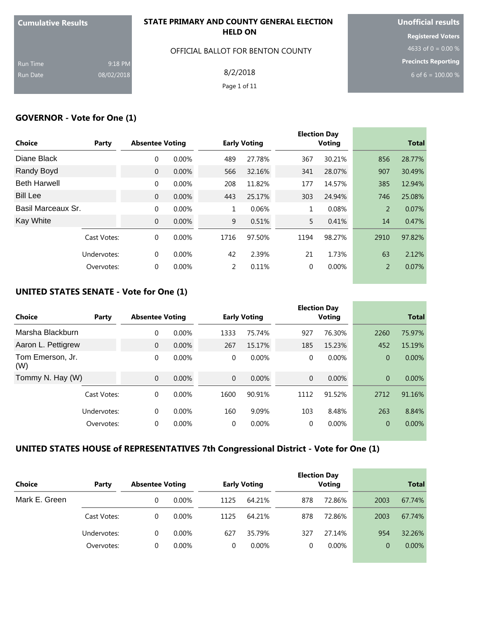| <b>Cumulative Results</b> |            | STATE PRIMARY AND COUNTY GENERAL ELECTION | <b>Unofficial results</b>  |
|---------------------------|------------|-------------------------------------------|----------------------------|
|                           |            | <b>HELD ON</b>                            | <b>Registered Voters</b>   |
|                           |            | OFFICIAL BALLOT FOR BENTON COUNTY         | 4633 of 0 = 0.00 $%$       |
| <b>Run Time</b>           | 9:18 PM    |                                           | <b>Precincts Reporting</b> |
| Run Date                  | 08/02/2018 | 8/2/2018                                  | 6 of 6 = $100.00\%$        |
|                           |            | Page 1 of 11                              |                            |
|                           |            |                                           |                            |

#### **GOVERNOR - Vote for One (1)**

| <b>Choice</b>       | Party       | <b>Absentee Voting</b> |          |      | <b>Early Voting</b> |              | <b>Election Day</b><br><b>Voting</b> |                | <b>Total</b> |
|---------------------|-------------|------------------------|----------|------|---------------------|--------------|--------------------------------------|----------------|--------------|
| Diane Black         |             | $\Omega$               | $0.00\%$ | 489  | 27.78%              | 367          | 30.21%                               | 856            | 28.77%       |
| Randy Boyd          |             | $\overline{0}$         | 0.00%    | 566  | 32.16%              | 341          | 28.07%                               | 907            | 30.49%       |
| <b>Beth Harwell</b> |             | $\Omega$               | 0.00%    | 208  | 11.82%              | 177          | 14.57%                               | 385            | 12.94%       |
| <b>Bill Lee</b>     |             | $\overline{0}$         | 0.00%    | 443  | 25.17%              | 303          | 24.94%                               | 746            | 25.08%       |
| Basil Marceaux Sr.  |             | $\Omega$               | 0.00%    | 1    | 0.06%               | $\mathbf{1}$ | 0.08%                                | $\overline{2}$ | 0.07%        |
| <b>Kay White</b>    |             | $\mathbf{0}$           | 0.00%    | 9    | 0.51%               | 5.           | 0.41%                                | 14             | 0.47%        |
|                     | Cast Votes: | $\Omega$               | $0.00\%$ | 1716 | 97.50%              | 1194         | 98.27%                               | 2910           | 97.82%       |
|                     | Undervotes: | $\Omega$               | $0.00\%$ | 42   | 2.39%               | 21           | 1.73%                                | 63             | 2.12%        |
|                     | Overvotes:  | $\Omega$               | 0.00%    | 2    | 0.11%               | 0            | 0.00%                                | $\overline{2}$ | 0.07%        |

## **UNITED STATES SENATE - Vote for One (1)**

| Choice<br>Party         | <b>Absentee Voting</b> |          |                | <b>Early Voting</b> |                | <b>Election Day</b><br><b>Voting</b> |                | <b>Total</b> |
|-------------------------|------------------------|----------|----------------|---------------------|----------------|--------------------------------------|----------------|--------------|
| Marsha Blackburn        | 0                      | 0.00%    | 1333           | 75.74%              | 927            | 76.30%                               | 2260           | 75.97%       |
| Aaron L. Pettigrew      | $\Omega$               | 0.00%    | 267            | 15.17%              | 185            | 15.23%                               | 452            | 15.19%       |
| Tom Emerson, Jr.<br>(W) | $\Omega$               | $0.00\%$ | $\Omega$       | $0.00\%$            | 0              | $0.00\%$                             | 0              | $0.00\%$     |
| Tommy N. Hay (W)        | $\overline{0}$         | 0.00%    | $\overline{0}$ | 0.00%               | $\overline{0}$ | 0.00%                                | $\overline{0}$ | 0.00%        |
| Cast Votes:             | $\Omega$               | $0.00\%$ | 1600           | 90.91%              | 1112           | 91.52%                               | 2712           | 91.16%       |
| Undervotes:             | $\Omega$               | 0.00%    | 160            | 9.09%               | 103            | 8.48%                                | 263            | 8.84%        |
| Overvotes:              | $\Omega$               | $0.00\%$ | $\Omega$       | $0.00\%$            | $\Omega$       | $0.00\%$                             | 0              | 0.00%        |

# **UNITED STATES HOUSE of REPRESENTATIVES 7th Congressional District - Vote for One (1)**

| <b>Choice</b> | Party       | <b>Absentee Voting</b> |          |      | <b>Early Voting</b> |     | <b>Election Day</b><br><b>Voting</b> |          | <b>Total</b> |
|---------------|-------------|------------------------|----------|------|---------------------|-----|--------------------------------------|----------|--------------|
| Mark E. Green |             |                        | $0.00\%$ | 1125 | 64.21%              | 878 | 72.86%                               | 2003     | 67.74%       |
|               | Cast Votes: | 0                      | $0.00\%$ | 1125 | 64.21%              | 878 | 72.86%                               | 2003     | 67.74%       |
|               | Undervotes: | $\Omega$               | $0.00\%$ | 627  | 35.79%              | 327 | 27.14%                               | 954      | 32.26%       |
|               | Overvotes:  |                        | $0.00\%$ |      | $0.00\%$            | 0   | $0.00\%$                             | $\Omega$ | $0.00\%$     |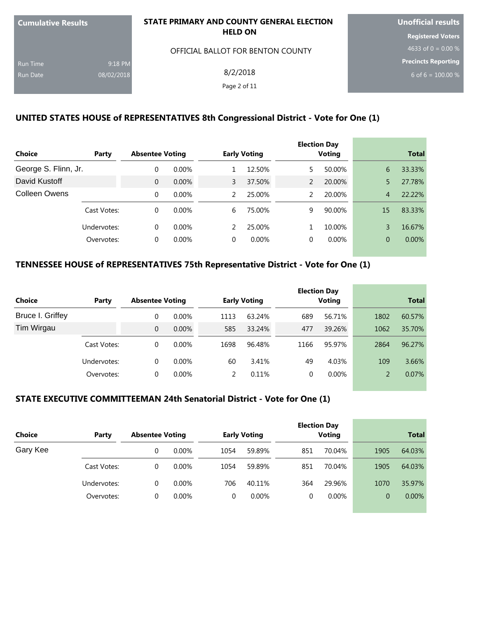| <b>Cumulative Results</b> |            | STATE PRIMARY AND COUNTY GENERAL ELECTION | <b>Unofficial results</b>  |
|---------------------------|------------|-------------------------------------------|----------------------------|
|                           |            | <b>HELD ON</b>                            | <b>Registered Voters</b>   |
|                           |            | OFFICIAL BALLOT FOR BENTON COUNTY         | 4633 of 0 = $0.00\%$       |
| <b>Run Time</b>           | 9:18 PM    |                                           | <b>Precincts Reporting</b> |
| <b>Run Date</b>           | 08/02/2018 | 8/2/2018                                  | 6 of 6 = $100.00\%$        |
|                           |            | Page 2 of 11                              |                            |
|                           |            |                                           |                            |

# **UNITED STATES HOUSE of REPRESENTATIVES 8th Congressional District - Vote for One (1)**

|                      |             |                        |          |          |                     |   | <b>Election Day</b> |                |              |
|----------------------|-------------|------------------------|----------|----------|---------------------|---|---------------------|----------------|--------------|
| <b>Choice</b>        | Party       | <b>Absentee Voting</b> |          |          | <b>Early Voting</b> |   | Voting              |                | <b>Total</b> |
| George S. Flinn, Jr. |             |                        | $0.00\%$ |          | 12.50%              | 5 | 50.00%              | 6              | 33.33%       |
| David Kustoff        |             | $\overline{0}$         | 0.00%    | 3        | 37.50%              | 2 | 20.00%              | 5              | 27.78%       |
| Colleen Owens        |             | $\Omega$               | $0.00\%$ | 2        | 25.00%              | 2 | 20.00%              | 4              | 22.22%       |
|                      | Cast Votes: | $\Omega$               | $0.00\%$ | 6        | 75.00%              | 9 | 90.00%              | 15             | 83.33%       |
|                      | Undervotes: | $\Omega$               | $0.00\%$ | 2        | 25.00%              |   | 10.00%              | 3              | 16.67%       |
|                      | Overvotes:  | $\Omega$               | $0.00\%$ | $\Omega$ | $0.00\%$            | 0 | $0.00\%$            | $\overline{0}$ | $0.00\%$     |

# **TENNESSEE HOUSE of REPRESENTATIVES 75th Representative District - Vote for One (1)**

|                  |             |                        |          |      |                     |          | <b>Election Day</b> |               |              |
|------------------|-------------|------------------------|----------|------|---------------------|----------|---------------------|---------------|--------------|
| Choice           | Party       | <b>Absentee Voting</b> |          |      | <b>Early Voting</b> |          | <b>Voting</b>       |               | <b>Total</b> |
| Bruce I. Griffey |             | 0                      | $0.00\%$ | 1113 | 63.24%              | 689      | 56.71%              | 1802          | 60.57%       |
| Tim Wirgau       |             | $\Omega$               | $0.00\%$ | 585  | 33.24%              | 477      | 39.26%              | 1062          | 35.70%       |
|                  | Cast Votes: | 0                      | $0.00\%$ | 1698 | 96.48%              | 1166     | 95.97%              | 2864          | 96.27%       |
|                  | Undervotes: | 0                      | $0.00\%$ | 60   | 3.41%               | 49       | 4.03%               | 109           | 3.66%        |
|                  | Overvotes:  | 0                      | $0.00\%$ |      | 0.11%               | $\Omega$ | $0.00\%$            | $\mathcal{P}$ | 0.07%        |

# **STATE EXECUTIVE COMMITTEEMAN 24th Senatorial District - Vote for One (1)**

| Choice   | Party       | <b>Absentee Voting</b> |          |      | <b>Early Voting</b> |     | <b>Election Day</b><br><b>Voting</b> |      | <b>Total</b> |
|----------|-------------|------------------------|----------|------|---------------------|-----|--------------------------------------|------|--------------|
| Gary Kee |             |                        | $0.00\%$ | 1054 | 59.89%              | 851 | 70.04%                               | 1905 | 64.03%       |
|          | Cast Votes: | 0                      | $0.00\%$ | 1054 | 59.89%              | 851 | 70.04%                               | 1905 | 64.03%       |
|          | Undervotes: | $\Omega$               | $0.00\%$ | 706  | 40.11%              | 364 | 29.96%                               | 1070 | 35.97%       |
|          | Overvotes:  | 0                      | $0.00\%$ |      | $0.00\%$            | 0   | $0.00\%$                             | 0    | $0.00\%$     |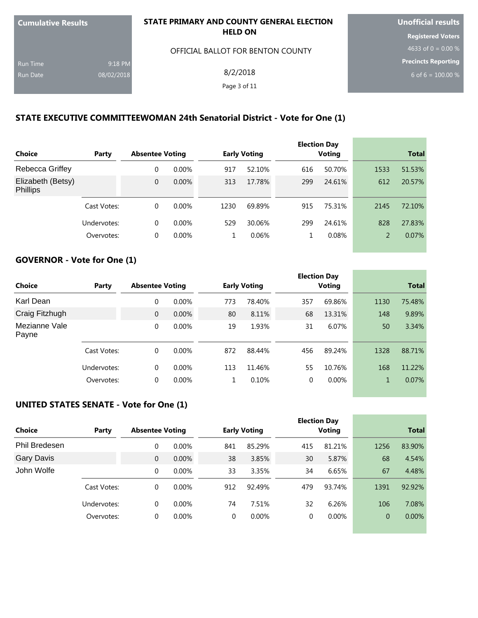| <b>Cumulative Results</b> |            | STATE PRIMARY AND COUNTY GENERAL ELECTION | <b>Unofficial results</b>  |
|---------------------------|------------|-------------------------------------------|----------------------------|
|                           |            | <b>HELD ON</b>                            | <b>Registered Voters</b>   |
|                           |            | OFFICIAL BALLOT FOR BENTON COUNTY         | 4633 of 0 = $0.00\%$       |
| <b>Run Time</b>           | 9:18 PM    |                                           | <b>Precincts Reporting</b> |
| <b>Run Date</b>           | 08/02/2018 | 8/2/2018                                  | 6 of 6 = $100.00\%$        |
|                           |            | Page 3 of 11                              |                            |
|                           |            |                                           |                            |

#### **STATE EXECUTIVE COMMITTEEWOMAN 24th Senatorial District - Vote for One (1)**

|                                      |             |                        |          |      |                     |     | <b>Election Day</b> |                |              |
|--------------------------------------|-------------|------------------------|----------|------|---------------------|-----|---------------------|----------------|--------------|
| <b>Choice</b>                        | Party       | <b>Absentee Voting</b> |          |      | <b>Early Voting</b> |     | <b>Voting</b>       |                | <b>Total</b> |
| <b>Rebecca Griffey</b>               |             | 0                      | $0.00\%$ | 917  | 52.10%              | 616 | 50.70%              | 1533           | 51.53%       |
| Elizabeth (Betsy)<br><b>Phillips</b> |             | 0                      | 0.00%    | 313  | 17.78%              | 299 | 24.61%              | 612            | 20.57%       |
|                                      | Cast Votes: | $\Omega$               | $0.00\%$ | 1230 | 69.89%              | 915 | 75.31%              | 2145           | 72.10%       |
|                                      | Undervotes: | $\Omega$               | $0.00\%$ | 529  | 30.06%              | 299 | 24.61%              | 828            | 27.83%       |
|                                      | Overvotes:  | 0                      | $0.00\%$ | 1    | 0.06%               | 1   | 0.08%               | $\overline{2}$ | 0.07%        |
|                                      |             |                        |          |      |                     |     |                     |                |              |

#### **GOVERNOR - Vote for One (1)**

| <b>Choice</b>          | Party       | <b>Absentee Voting</b> |          |     | <b>Early Voting</b> |     | <b>Election Day</b><br>Voting |      | <b>Total</b> |
|------------------------|-------------|------------------------|----------|-----|---------------------|-----|-------------------------------|------|--------------|
| Karl Dean              |             | 0                      | $0.00\%$ | 773 | 78.40%              | 357 | 69.86%                        | 1130 | 75.48%       |
| Craig Fitzhugh         |             | $\mathbf{0}$           | 0.00%    | 80  | 8.11%               | 68  | 13.31%                        | 148  | 9.89%        |
| Mezianne Vale<br>Payne |             | $\Omega$               | 0.00%    | 19  | 1.93%               | 31  | 6.07%                         | 50   | 3.34%        |
|                        | Cast Votes: | 0                      | $0.00\%$ | 872 | 88.44%              | 456 | 89.24%                        | 1328 | 88.71%       |
|                        | Undervotes: | $\Omega$               | 0.00%    | 113 | 11.46%              | 55  | 10.76%                        | 168  | 11.22%       |
|                        | Overvotes:  | 0                      | 0.00%    |     | 0.10%               | 0   | $0.00\%$                      | 1    | 0.07%        |

## **UNITED STATES SENATE - Vote for One (1)**

| Party       |  |                                                                |                                                                                             |          |                     | <b>Voting</b> |                     | <b>Total</b> |
|-------------|--|----------------------------------------------------------------|---------------------------------------------------------------------------------------------|----------|---------------------|---------------|---------------------|--------------|
|             |  |                                                                | 841                                                                                         | 85.29%   | 415                 | 81.21%        | 1256                | 83.90%       |
|             |  |                                                                | 38                                                                                          | 3.85%    | 30                  | 5.87%         | 68                  | 4.54%        |
|             |  |                                                                | 33                                                                                          | 3.35%    | 34                  | 6.65%         | 67                  | 4.48%        |
| Cast Votes: |  |                                                                | 912                                                                                         | 92.49%   | 479                 | 93.74%        | 1391                | 92.92%       |
| Undervotes: |  |                                                                | 74                                                                                          | 7.51%    | 32                  | 6.26%         | 106                 | 7.08%        |
| Overvotes:  |  |                                                                | $\Omega$                                                                                    | $0.00\%$ | 0                   | $0.00\%$      | 0                   | 0.00%        |
|             |  | $\overline{0}$<br>$\Omega$<br>$\Omega$<br>$\Omega$<br>$\Omega$ | <b>Absentee Voting</b><br>$0.00\%$<br>0.00%<br>$0.00\%$<br>$0.00\%$<br>$0.00\%$<br>$0.00\%$ |          | <b>Early Voting</b> |               | <b>Election Day</b> |              |

the control of the control of the con-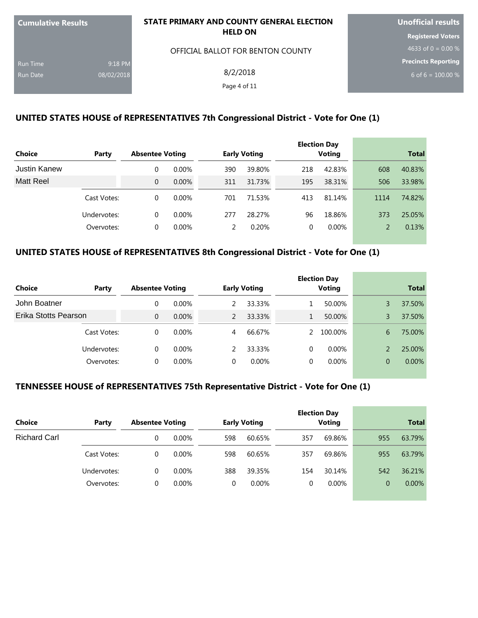| <b>Cumulative Results</b> |            | STATE PRIMARY AND COUNTY GENERAL ELECTION | <b>Unofficial results</b> |  |  |
|---------------------------|------------|-------------------------------------------|---------------------------|--|--|
|                           |            | <b>HELD ON</b>                            | <b>Registered Voters</b>  |  |  |
|                           |            | OFFICIAL BALLOT FOR BENTON COUNTY         | 4633 of 0 = $0.00\%$      |  |  |
| <b>Run Time</b>           | 9:18 PM    |                                           | Precincts Reporting       |  |  |
| <b>Run Date</b>           | 08/02/2018 | 8/2/2018                                  | 6 of 6 = $100.00\%$       |  |  |
|                           |            | Page 4 of 11                              |                           |  |  |
|                           |            |                                           |                           |  |  |

## **UNITED STATES HOUSE of REPRESENTATIVES 7th Congressional District - Vote for One (1)**

|                     |             |                        |          |     |                     |     | <b>Election Day</b> |      |              |
|---------------------|-------------|------------------------|----------|-----|---------------------|-----|---------------------|------|--------------|
| <b>Choice</b>       | Party       | <b>Absentee Voting</b> |          |     | <b>Early Voting</b> |     | <b>Voting</b>       |      | <b>Total</b> |
| <b>Justin Kanew</b> |             | 0                      | $0.00\%$ | 390 | 39.80%              | 218 | 42.83%              | 608  | 40.83%       |
| <b>Matt Reel</b>    |             | $\overline{0}$         | $0.00\%$ | 311 | 31.73%              | 195 | 38.31%              | 506  | 33.98%       |
|                     | Cast Votes: | $\Omega$               | $0.00\%$ | 701 | 71.53%              | 413 | 81.14%              | 1114 | 74.82%       |
|                     | Undervotes: | $\Omega$               | $0.00\%$ | 277 | 28.27%              | 96  | 18.86%              | 373  | 25.05%       |
|                     | Overvotes:  | 0                      | $0.00\%$ |     | 0.20%               | 0   | $0.00\%$            |      | 0.13%        |

# **UNITED STATES HOUSE of REPRESENTATIVES 8th Congressional District - Vote for One (1)**

| <b>Choice</b>        | Party       | <b>Absentee Voting</b> |          |   | <b>Early Voting</b> |   | <b>Election Day</b><br><b>Voting</b> |   | <b>Total</b> |
|----------------------|-------------|------------------------|----------|---|---------------------|---|--------------------------------------|---|--------------|
| John Boatner         |             | 0                      | $0.00\%$ |   | 33.33%              |   | 50.00%                               | 3 | 37.50%       |
| Erika Stotts Pearson |             | $\Omega$               | $0.00\%$ |   | 33.33%              |   | 50.00%                               | 3 | 37.50%       |
|                      | Cast Votes: | 0                      | $0.00\%$ | 4 | 66.67%              |   | 100.00%                              | 6 | 75.00%       |
|                      | Undervotes: | 0                      | $0.00\%$ |   | 33.33%              | 0 | $0.00\%$                             |   | 25.00%       |
|                      | Overvotes:  | 0                      | $0.00\%$ |   | $0.00\%$            | 0 | $0.00\%$                             | 0 | $0.00\%$     |

#### **TENNESSEE HOUSE of REPRESENTATIVES 75th Representative District - Vote for One (1)**

| Choice              | Party       | <b>Absentee Voting</b> |          |     | <b>Early Voting</b> |     | <b>Election Day</b><br><b>Voting</b> |     | <b>Total</b> |
|---------------------|-------------|------------------------|----------|-----|---------------------|-----|--------------------------------------|-----|--------------|
| <b>Richard Carl</b> |             |                        | $0.00\%$ | 598 | 60.65%              | 357 | 69.86%                               | 955 | 63.79%       |
|                     | Cast Votes: | $\theta$               | $0.00\%$ | 598 | 60.65%              | 357 | 69.86%                               | 955 | 63.79%       |
|                     | Undervotes: | $\Omega$               | $0.00\%$ | 388 | 39.35%              | 154 | 30.14%                               | 542 | 36.21%       |
|                     | Overvotes:  | 0                      | $0.00\%$ | 0   | $0.00\%$            | 0   | $0.00\%$                             | 0   | $0.00\%$     |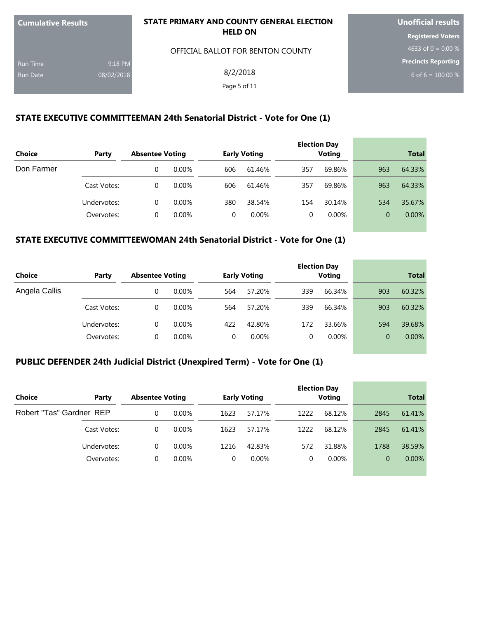| <b>Cumulative Results</b> |            | STATE PRIMARY AND COUNTY GENERAL ELECTION | <b>Unofficial results</b>  |  |  |
|---------------------------|------------|-------------------------------------------|----------------------------|--|--|
|                           |            | <b>HELD ON</b>                            | <b>Registered Voters</b>   |  |  |
|                           |            | OFFICIAL BALLOT FOR BENTON COUNTY         | 4633 of $0 = 0.00\%$       |  |  |
| <b>Run Time</b>           | 9:18 PM    |                                           | <b>Precincts Reporting</b> |  |  |
| Run Date                  | 08/02/2018 | 8/2/2018                                  | 6 of 6 = $100.00\%$        |  |  |
|                           |            | Page 5 of 11                              |                            |  |  |
|                           |            |                                           |                            |  |  |

## **STATE EXECUTIVE COMMITTEEMAN 24th Senatorial District - Vote for One (1)**

| <b>Choice</b> | Party       | <b>Absentee Voting</b> |          |     | <b>Early Voting</b> |     | <b>Election Day</b><br><b>Voting</b> |          | <b>Total</b> |
|---------------|-------------|------------------------|----------|-----|---------------------|-----|--------------------------------------|----------|--------------|
| Don Farmer    |             |                        | $0.00\%$ | 606 | 61.46%              | 357 | 69.86%                               | 963      | 64.33%       |
|               | Cast Votes: | 0                      | $0.00\%$ | 606 | 61.46%              | 357 | 69.86%                               | 963      | 64.33%       |
|               | Undervotes: | 0                      | $0.00\%$ | 380 | 38.54%              | 154 | 30.14%                               | 534      | 35.67%       |
|               | Overvotes:  |                        | $0.00\%$ |     | $0.00\%$            |     | $0.00\%$                             | $\Omega$ | $0.00\%$     |

# **STATE EXECUTIVE COMMITTEEWOMAN 24th Senatorial District - Vote for One (1)**

| Choice        | Party       | <b>Absentee Voting</b> |          |     | <b>Early Voting</b> |     | <b>Election Day</b><br><b>Voting</b> |     | <b>Total</b> |
|---------------|-------------|------------------------|----------|-----|---------------------|-----|--------------------------------------|-----|--------------|
| Angela Callis |             | 0                      | $0.00\%$ | 564 | 57.20%              | 339 | 66.34%                               | 903 | 60.32%       |
|               | Cast Votes: | $\Omega$               | $0.00\%$ | 564 | 57.20%              | 339 | 66.34%                               | 903 | 60.32%       |
|               | Undervotes: | $\Omega$               | $0.00\%$ | 422 | 42.80%              | 172 | 33.66%                               | 594 | 39.68%       |
|               | Overvotes:  | 0                      | $0.00\%$ | 0   | $0.00\%$            | 0   | $0.00\%$                             | 0   | $0.00\%$     |

# **PUBLIC DEFENDER 24th Judicial District (Unexpired Term) - Vote for One (1)**

| <b>Choice</b><br>Party   | <b>Absentee Voting</b> |          |      | <b>Early Voting</b> |      | <b>Election Day</b><br><b>Voting</b> |          | <b>Total</b> |
|--------------------------|------------------------|----------|------|---------------------|------|--------------------------------------|----------|--------------|
| Robert "Tas" Gardner REP | 0                      | $0.00\%$ | 1623 | 57.17%              | 1222 | 68.12%                               | 2845     | 61.41%       |
| Cast Votes:              | 0                      | $0.00\%$ | 1623 | 57.17%              | 1222 | 68.12%                               | 2845     | 61.41%       |
| Undervotes:              | 0                      | $0.00\%$ | 1216 | 42.83%              | 572  | 31.88%                               | 1788     | 38.59%       |
| Overvotes:               | 0                      | $0.00\%$ |      | $0.00\%$            |      | $0.00\%$                             | $\Omega$ | $0.00\%$     |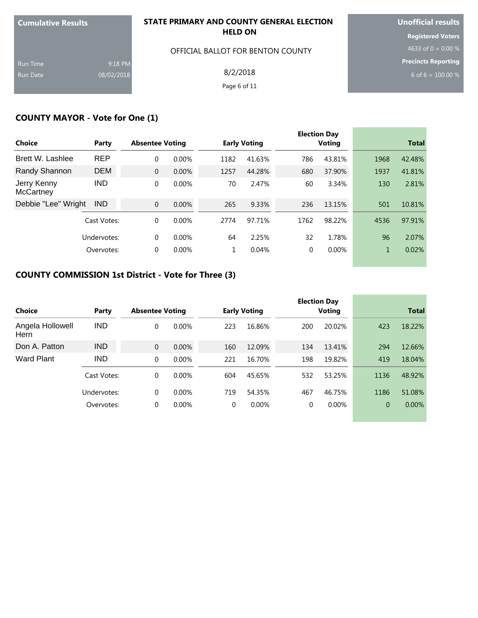| <b>Cumulative Results</b> |            | STATE PRIMARY AND COUNTY GENERAL ELECTION | <b>Unofficial results</b>  |  |  |
|---------------------------|------------|-------------------------------------------|----------------------------|--|--|
|                           |            | <b>HELD ON</b>                            | <b>Registered Voters</b>   |  |  |
|                           |            | OFFICIAL BALLOT FOR BENTON COUNTY         | 4633 of 0 = 0.00 %         |  |  |
| <b>Run Time</b>           | 9:18 PM    |                                           | <b>Precincts Reporting</b> |  |  |
| <b>Run Date</b>           | 08/02/2018 | 8/2/2018                                  | 6 of 6 = $100.00\%$        |  |  |
|                           |            | Page 6 of 11                              |                            |  |  |

# **COUNTY MAYOR - Vote for One (1)**

|                                 |             |                        |          |      |                     |      | <b>Election Day</b> |              |              |
|---------------------------------|-------------|------------------------|----------|------|---------------------|------|---------------------|--------------|--------------|
| Choice                          | Party       | <b>Absentee Voting</b> |          |      | <b>Early Voting</b> |      | <b>Voting</b>       |              | <b>Total</b> |
| Brett W. Lashlee                | <b>REP</b>  | 0                      | 0.00%    | 1182 | 41.63%              | 786  | 43.81%              | 1968         | 42.48%       |
| Randy Shannon                   | <b>DEM</b>  | $\mathbf{0}$           | 0.00%    | 1257 | 44.28%              | 680  | 37.90%              | 1937         | 41.81%       |
| Jerry Kenny<br><b>McCartney</b> | <b>IND</b>  | 0                      | $0.00\%$ | 70   | 2.47%               | 60   | 3.34%               | 130          | 2.81%        |
| Debbie "Lee" Wright             | <b>IND</b>  | $\mathbf{0}$           | $0.00\%$ | 265  | 9.33%               | 236  | 13.15%              | 501          | 10.81%       |
|                                 | Cast Votes: | 0                      | $0.00\%$ | 2774 | 97.71%              | 1762 | 98.22%              | 4536         | 97.91%       |
|                                 | Undervotes: | $\Omega$               | $0.00\%$ | 64   | 2.25%               | 32   | 1.78%               | 96           | 2.07%        |
|                                 | Overvotes:  | $\Omega$               | $0.00\%$ |      | 0.04%               | 0    | $0.00\%$            | $\mathbf{1}$ | 0.02%        |

# **COUNTY COMMISSION 1st District - Vote for Three (3)**

|                          |             |                        |          |          |                     |     | <b>Election Day</b> |                |              |
|--------------------------|-------------|------------------------|----------|----------|---------------------|-----|---------------------|----------------|--------------|
| <b>Choice</b>            | Party       | <b>Absentee Voting</b> |          |          | <b>Early Voting</b> |     | Voting              |                | <b>Total</b> |
| Angela Hollowell<br>Hern | <b>IND</b>  | $\Omega$               | $0.00\%$ | 223      | 16.86%              | 200 | 20.02%              | 423            | 18.22%       |
| Don A. Patton            | <b>IND</b>  | $\Omega$               | 0.00%    | 160      | 12.09%              | 134 | 13.41%              | 294            | 12.66%       |
| <b>Ward Plant</b>        | <b>IND</b>  | $\Omega$               | 0.00%    | 221      | 16.70%              | 198 | 19.82%              | 419            | 18.04%       |
|                          | Cast Votes: | $\Omega$               | $0.00\%$ | 604      | 45.65%              | 532 | 53.25%              | 1136           | 48.92%       |
|                          | Undervotes: | $\Omega$               | $0.00\%$ | 719      | 54.35%              | 467 | 46.75%              | 1186           | 51.08%       |
|                          | Overvotes:  | $\Omega$               | $0.00\%$ | $\Omega$ | $0.00\%$            | 0   | 0.00%               | $\overline{0}$ | 0.00%        |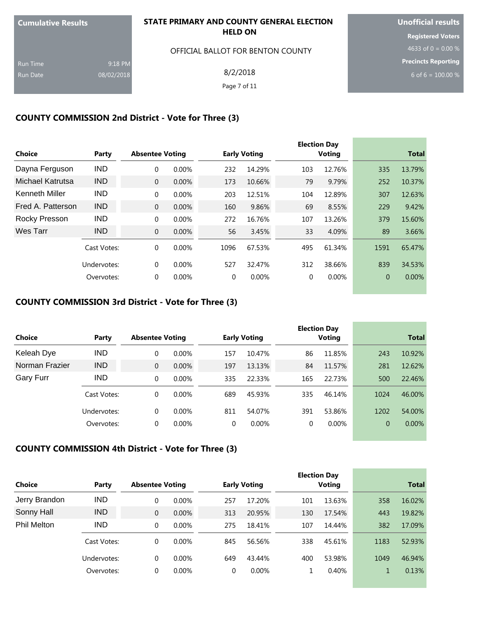| <b>Cumulative Results</b> |            | STATE PRIMARY AND COUNTY GENERAL ELECTION | <b>Unofficial results</b>  |  |
|---------------------------|------------|-------------------------------------------|----------------------------|--|
|                           |            | <b>HELD ON</b>                            | <b>Registered Voters</b>   |  |
|                           |            | OFFICIAL BALLOT FOR BENTON COUNTY         | 4633 of 0 = 0.00 %         |  |
| <b>Run Time</b>           | 9:18 PM    |                                           | <b>Precincts Reporting</b> |  |
| <b>Run Date</b>           | 08/02/2018 | 8/2/2018                                  | 6 of 6 = $100.00\%$        |  |
|                           |            | Page 7 of 11                              |                            |  |
|                           |            |                                           |                            |  |

## **COUNTY COMMISSION 2nd District - Vote for Three (3)**

| <b>Choice</b>         | Party       | <b>Absentee Voting</b> |          |          | <b>Early Voting</b> |          | <b>Election Day</b><br><b>Voting</b> |                | <b>Total</b> |
|-----------------------|-------------|------------------------|----------|----------|---------------------|----------|--------------------------------------|----------------|--------------|
| Dayna Ferguson        | <b>IND</b>  | 0                      | $0.00\%$ | 232      | 14.29%              | 103      | 12.76%                               | 335            | 13.79%       |
| Michael Katrutsa      | <b>IND</b>  | $\overline{0}$         | 0.00%    | 173      | 10.66%              | 79       | 9.79%                                | 252            | 10.37%       |
| <b>Kenneth Miller</b> | <b>IND</b>  | $\Omega$               | 0.00%    | 203      | 12.51%              | 104      | 12.89%                               | 307            | 12.63%       |
| Fred A. Patterson     | <b>IND</b>  | $\mathbf{0}$           | 0.00%    | 160      | 9.86%               | 69       | 8.55%                                | 229            | 9.42%        |
| Rocky Presson         | <b>IND</b>  | $\Omega$               | $0.00\%$ | 272      | 16.76%              | 107      | 13.26%                               | 379            | 15.60%       |
| Wes Tarr              | <b>IND</b>  | $\overline{0}$         | 0.00%    | 56       | 3.45%               | 33       | 4.09%                                | 89             | 3.66%        |
|                       | Cast Votes: | $\Omega$               | $0.00\%$ | 1096     | 67.53%              | 495      | 61.34%                               | 1591           | 65.47%       |
|                       | Undervotes: | $\Omega$               | $0.00\%$ | 527      | 32.47%              | 312      | 38.66%                               | 839            | 34.53%       |
|                       | Overvotes:  | $\Omega$               | $0.00\%$ | $\Omega$ | $0.00\%$            | $\Omega$ | $0.00\%$                             | $\overline{0}$ | 0.00%        |

### **COUNTY COMMISSION 3rd District - Vote for Three (3)**

| Choice           | Party       | <b>Absentee Voting</b> |          |     | <b>Early Voting</b> |     | <b>Election Day</b><br>Voting |      | <b>Total</b> |
|------------------|-------------|------------------------|----------|-----|---------------------|-----|-------------------------------|------|--------------|
|                  |             |                        |          |     |                     |     |                               |      |              |
| Keleah Dye       | <b>IND</b>  | 0                      | $0.00\%$ | 157 | 10.47%              | 86  | 11.85%                        | 243  | 10.92%       |
| Norman Frazier   | <b>IND</b>  | $\mathbf{0}$           | $0.00\%$ | 197 | 13.13%              | 84  | 11.57%                        | 281  | 12.62%       |
| <b>Gary Furr</b> | <b>IND</b>  | $\Omega$               | $0.00\%$ | 335 | 22.33%              | 165 | 22.73%                        | 500  | 22.46%       |
|                  | Cast Votes: | $\Omega$               | $0.00\%$ | 689 | 45.93%              | 335 | 46.14%                        | 1024 | 46.00%       |
|                  | Undervotes: | $\Omega$               | $0.00\%$ | 811 | 54.07%              | 391 | 53.86%                        | 1202 | 54.00%       |
|                  | Overvotes:  | $\Omega$               | $0.00\%$ | 0   | 0.00%               | 0   | 0.00%                         | 0    | 0.00%        |
|                  |             |                        |          |     |                     |     |                               |      |              |

# **COUNTY COMMISSION 4th District - Vote for Three (3)**

|                    |             |                        |          |     |                     |     | <b>Election Day</b> |      |              |
|--------------------|-------------|------------------------|----------|-----|---------------------|-----|---------------------|------|--------------|
| <b>Choice</b>      | Party       | <b>Absentee Voting</b> |          |     | <b>Early Voting</b> |     | Voting              |      | <b>Total</b> |
| Jerry Brandon      | <b>IND</b>  | $\Omega$               | $0.00\%$ | 257 | 17.20%              | 101 | 13.63%              | 358  | 16.02%       |
| Sonny Hall         | <b>IND</b>  | $\mathbf{0}$           | $0.00\%$ | 313 | 20.95%              | 130 | 17.54%              | 443  | 19.82%       |
| <b>Phil Melton</b> | <b>IND</b>  | $\Omega$               | $0.00\%$ | 275 | 18.41%              | 107 | 14.44%              | 382  | 17.09%       |
|                    | Cast Votes: | 0                      | $0.00\%$ | 845 | 56.56%              | 338 | 45.61%              | 1183 | 52.93%       |
|                    | Undervotes: | $\theta$               | $0.00\%$ | 649 | 43.44%              | 400 | 53.98%              | 1049 | 46.94%       |
|                    | Overvotes:  | $\Omega$               | $0.00\%$ | 0   | 0.00%               |     | 0.40%               |      | 0.13%        |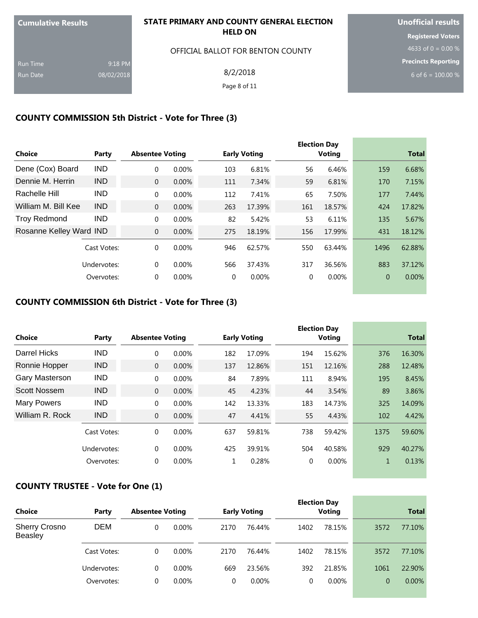| <b>Cumulative Results</b> |            | STATE PRIMARY AND COUNTY GENERAL ELECTION | <b>Unofficial results</b>  |  |  |
|---------------------------|------------|-------------------------------------------|----------------------------|--|--|
|                           |            | <b>HELD ON</b>                            | <b>Registered Voters</b>   |  |  |
|                           |            | OFFICIAL BALLOT FOR BENTON COUNTY         | 4633 of 0 = 0.00 %         |  |  |
| <b>Run Time</b>           | 9:18 PM    |                                           | <b>Precincts Reporting</b> |  |  |
| <b>Run Date</b>           | 08/02/2018 | 8/2/2018                                  | 6 of 6 = $100.00\%$        |  |  |
|                           |            | Page 8 of 11                              |                            |  |  |
|                           |            |                                           |                            |  |  |

## **COUNTY COMMISSION 5th District - Vote for Three (3)**

| <b>Choice</b>           | Party       | <b>Absentee Voting</b> |          |          | <b>Early Voting</b> |          | <b>Election Day</b><br><b>Voting</b> |                | <b>Total</b> |
|-------------------------|-------------|------------------------|----------|----------|---------------------|----------|--------------------------------------|----------------|--------------|
|                         |             |                        |          |          |                     |          |                                      |                |              |
| Dene (Cox) Board        | <b>IND</b>  | 0                      | $0.00\%$ | 103      | 6.81%               | 56       | 6.46%                                | 159            | 6.68%        |
| Dennie M. Herrin        | <b>IND</b>  | $\overline{0}$         | 0.00%    | 111      | 7.34%               | 59       | 6.81%                                | 170            | 7.15%        |
| Rachelle Hill           | <b>IND</b>  | $\Omega$               | 0.00%    | 112      | 7.41%               | 65       | 7.50%                                | 177            | 7.44%        |
| William M. Bill Kee     | <b>IND</b>  | $\Omega$               | 0.00%    | 263      | 17.39%              | 161      | 18.57%                               | 424            | 17.82%       |
| <b>Troy Redmond</b>     | <b>IND</b>  | $\Omega$               | $0.00\%$ | 82       | 5.42%               | 53       | 6.11%                                | 135            | 5.67%        |
| Rosanne Kelley Ward IND |             | $\overline{0}$         | 0.00%    | 275      | 18.19%              | 156      | 17.99%                               | 431            | 18.12%       |
|                         | Cast Votes: | $\Omega$               | $0.00\%$ | 946      | 62.57%              | 550      | 63.44%                               | 1496           | 62.88%       |
|                         | Undervotes: | $\Omega$               | 0.00%    | 566      | 37.43%              | 317      | 36.56%                               | 883            | 37.12%       |
|                         | Overvotes:  | 0                      | 0.00%    | $\Omega$ | 0.00%               | $\Omega$ | 0.00%                                | $\overline{0}$ | 0.00%        |

#### **COUNTY COMMISSION 6th District - Vote for Three (3)**

| <b>Choice</b>       | Party       | <b>Absentee Voting</b> |          |     | <b>Early Voting</b> |     | <b>Election Day</b><br><b>Voting</b> |              | <b>Total</b> |
|---------------------|-------------|------------------------|----------|-----|---------------------|-----|--------------------------------------|--------------|--------------|
| Darrel Hicks        | <b>IND</b>  | 0                      | $0.00\%$ | 182 | 17.09%              | 194 | 15.62%                               | 376          | 16.30%       |
| Ronnie Hopper       | <b>IND</b>  | $\Omega$               | 0.00%    | 137 | 12.86%              | 151 | 12.16%                               | 288          | 12.48%       |
| Gary Masterson      | <b>IND</b>  | 0                      | 0.00%    | 84  | 7.89%               | 111 | 8.94%                                | 195          | 8.45%        |
| <b>Scott Nossem</b> | <b>IND</b>  | $\Omega$               | 0.00%    | 45  | 4.23%               | 44  | 3.54%                                | 89           | 3.86%        |
| <b>Mary Powers</b>  | <b>IND</b>  | $\Omega$               | $0.00\%$ | 142 | 13.33%              | 183 | 14.73%                               | 325          | 14.09%       |
| William R. Rock     | <b>IND</b>  | $\overline{0}$         | 0.00%    | 47  | 4.41%               | 55  | 4.43%                                | 102          | 4.42%        |
|                     | Cast Votes: | $\Omega$               | 0.00%    | 637 | 59.81%              | 738 | 59.42%                               | 1375         | 59.60%       |
|                     | Undervotes: | 0                      | 0.00%    | 425 | 39.91%              | 504 | 40.58%                               | 929          | 40.27%       |
|                     | Overvotes:  | 0                      | 0.00%    | 1   | 0.28%               | 0   | 0.00%                                | $\mathbf{1}$ | 0.13%        |

## **COUNTY TRUSTEE - Vote for One (1)**

| <b>Choice</b>                          | Party       | <b>Absentee Voting</b> |          |      | <b>Early Voting</b> |      | <b>Election Day</b><br><b>Voting</b> |      | <b>Total</b> |
|----------------------------------------|-------------|------------------------|----------|------|---------------------|------|--------------------------------------|------|--------------|
| <b>Sherry Crosno</b><br><b>Beasley</b> | <b>DEM</b>  |                        | $0.00\%$ | 2170 | 76.44%              | 1402 | 78.15%                               | 3572 | 77.10%       |
|                                        | Cast Votes: | $\Omega$               | $0.00\%$ | 2170 | 76.44%              | 1402 | 78.15%                               | 3572 | 77.10%       |
|                                        | Undervotes: | $\Omega$               | $0.00\%$ | 669  | 23.56%              | 392  | 21.85%                               | 1061 | 22.90%       |
|                                        | Overvotes:  |                        | $0.00\%$ | 0    | $0.00\%$            | 0    | $0.00\%$                             | 0    | $0.00\%$     |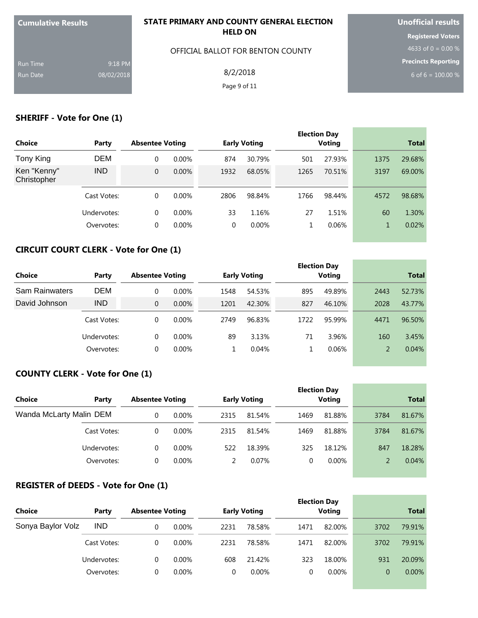| <b>Cumulative Results</b> |            | STATE PRIMARY AND COUNTY GENERAL ELECTION<br><b>HELD ON</b> | <b>Unofficial results</b>  |  |  |
|---------------------------|------------|-------------------------------------------------------------|----------------------------|--|--|
|                           |            |                                                             | <b>Registered Voters</b>   |  |  |
|                           |            | OFFICIAL BALLOT FOR BENTON COUNTY                           | 4633 of 0 = 0.00 $%$       |  |  |
| <b>Run Time</b>           | 9:18 PM    |                                                             | <b>Precincts Reporting</b> |  |  |
| Run Date                  | 08/02/2018 | 8/2/2018                                                    | 6 of 6 = $100.00\%$        |  |  |
|                           |            | Page 9 of 11                                                |                            |  |  |
|                           |            |                                                             |                            |  |  |

## **SHERIFF - Vote for One (1)**

|                            |             |                        |          |      |                     |      | <b>Election Day</b> |              |              |  |
|----------------------------|-------------|------------------------|----------|------|---------------------|------|---------------------|--------------|--------------|--|
| Choice                     | Party       | <b>Absentee Voting</b> |          |      | <b>Early Voting</b> |      | Voting              |              | <b>Total</b> |  |
| Tony King                  | DEM         | 0                      | $0.00\%$ | 874  | 30.79%              | 501  | 27.93%              | 1375         | 29.68%       |  |
| Ken "Kenny"<br>Christopher | <b>IND</b>  | 0                      | 0.00%    | 1932 | 68.05%              | 1265 | 70.51%              | 3197         | 69.00%       |  |
|                            | Cast Votes: | $\Omega$               | $0.00\%$ | 2806 | 98.84%              | 1766 | 98.44%              | 4572         | 98.68%       |  |
|                            | Undervotes: | $\Omega$               | $0.00\%$ | 33   | 1.16%               | 27   | 1.51%               | 60           | 1.30%        |  |
|                            | Overvotes:  | 0                      | $0.00\%$ | 0    | $0.00\%$            | 1    | 0.06%               | $\mathbf{1}$ | 0.02%        |  |
|                            |             |                        |          |      |                     |      |                     |              |              |  |

# **CIRCUIT COURT CLERK - Vote for One (1)**

| Choice                | Party       | <b>Absentee Voting</b> |          |      | <b>Early Voting</b> |      | <b>Election Day</b><br>Voting |      | <b>Total</b> |
|-----------------------|-------------|------------------------|----------|------|---------------------|------|-------------------------------|------|--------------|
| <b>Sam Rainwaters</b> | <b>DEM</b>  | 0                      | $0.00\%$ | 1548 | 54.53%              | 895  | 49.89%                        | 2443 | 52.73%       |
| David Johnson         | <b>IND</b>  | $\Omega$               | $0.00\%$ | 1201 | 42.30%              | 827  | 46.10%                        | 2028 | 43.77%       |
|                       | Cast Votes: | 0                      | $0.00\%$ | 2749 | 96.83%              | 1722 | 95.99%                        | 4471 | 96.50%       |
|                       | Undervotes: | 0                      | $0.00\%$ | 89   | 3.13%               | 71   | 3.96%                         | 160  | 3.45%        |
|                       | Overvotes:  | 0                      | $0.00\%$ |      | 0.04%               |      | 0.06%                         |      | 0.04%        |

# **COUNTY CLERK - Vote for One (1)**

| Choice                  |             |                        |          |      |                     | <b>Election Day</b> |          | <b>Total</b> |        |
|-------------------------|-------------|------------------------|----------|------|---------------------|---------------------|----------|--------------|--------|
|                         | Party       | <b>Absentee Voting</b> |          |      | <b>Early Voting</b> |                     | Voting   |              |        |
| Wanda McLarty Malin DEM |             | 0                      | $0.00\%$ | 2315 | 81.54%              | 1469                | 81.88%   | 3784         | 81.67% |
|                         | Cast Votes: | 0                      | $0.00\%$ | 2315 | 81.54%              | 1469                | 81.88%   | 3784         | 81.67% |
|                         | Undervotes: | 0                      | $0.00\%$ | 522  | 18.39%              | 325                 | 18.12%   | 847          | 18.28% |
|                         | Overvotes:  |                        | $0.00\%$ |      | 0.07%               |                     | $0.00\%$ |              | 0.04%  |

#### **REGISTER of DEEDS - Vote for One (1)**

|                   |             |                        |          |      |                     |      | <b>Election Day</b> |      |              |
|-------------------|-------------|------------------------|----------|------|---------------------|------|---------------------|------|--------------|
| <b>Choice</b>     | Party       | <b>Absentee Voting</b> |          |      | <b>Early Voting</b> |      | <b>Voting</b>       |      | <b>Total</b> |
| Sonya Baylor Volz | <b>IND</b>  | 0                      | $0.00\%$ | 2231 | 78.58%              | 1471 | 82.00%              | 3702 | 79.91%       |
|                   | Cast Votes: | 0                      | $0.00\%$ | 2231 | 78.58%              | 1471 | 82.00%              | 3702 | 79.91%       |
|                   | Undervotes: | 0                      | $0.00\%$ | 608  | 21.42%              | 323  | 18.00%              | 931  | 20.09%       |
|                   | Overvotes:  | 0                      | $0.00\%$ |      | $0.00\%$            | 0    | $0.00\%$            | 0    | $0.00\%$     |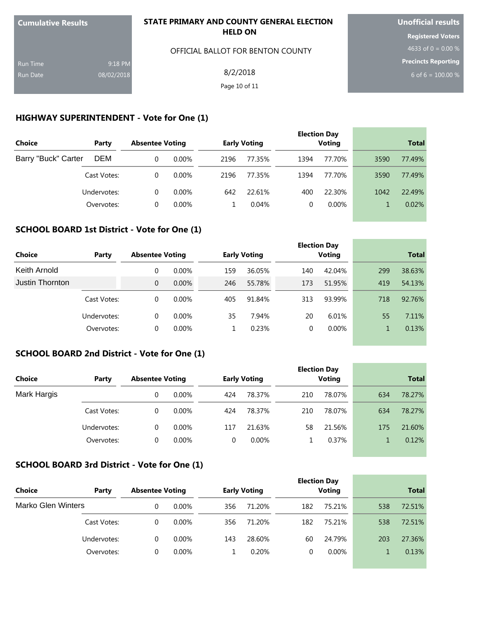| <b>Cumulative Results</b> |            | STATE PRIMARY AND COUNTY GENERAL ELECTION | <b>Unofficial results</b> |  |  |
|---------------------------|------------|-------------------------------------------|---------------------------|--|--|
|                           |            | <b>HELD ON</b>                            | <b>Registered Voters</b>  |  |  |
|                           |            | OFFICIAL BALLOT FOR BENTON COUNTY         | 4633 of 0 = 0.00 %        |  |  |
| <b>Run Time</b>           | 9:18 PM    |                                           | Precincts Reporting       |  |  |
| Run Date                  | 08/02/2018 | 8/2/2018                                  | 6 of 6 = $100.00\%$       |  |  |
|                           |            | Page 10 of 11                             |                           |  |  |
|                           |            |                                           |                           |  |  |

# **HIGHWAY SUPERINTENDENT - Vote for One (1)**

| <b>Choice</b>       | Party       | <b>Absentee Voting</b> |          |      | <b>Early Voting</b> |      | <b>Election Day</b><br><b>Voting</b> |      | <b>Total</b> |
|---------------------|-------------|------------------------|----------|------|---------------------|------|--------------------------------------|------|--------------|
| Barry "Buck" Carter | <b>DEM</b>  | 0                      | $0.00\%$ | 2196 | 77.35%              | 1394 | 77.70%                               | 3590 | 77.49%       |
|                     | Cast Votes: | 0                      | $0.00\%$ | 2196 | 77.35%              | 1394 | 77.70%                               | 3590 | 77.49%       |
|                     | Undervotes: | 0                      | $0.00\%$ | 642  | 22.61%              | 400  | 22.30%                               | 1042 | 22.49%       |
|                     | Overvotes:  | 0                      | $0.00\%$ |      | 0.04%               |      | $0.00\%$                             |      | 0.02%        |

#### **SCHOOL BOARD 1st District - Vote for One (1)**

| Choice          | Party       | <b>Absentee Voting</b> |          |     | <b>Early Voting</b> |     | <b>Election Day</b><br>Voting |     | <b>Total</b> |
|-----------------|-------------|------------------------|----------|-----|---------------------|-----|-------------------------------|-----|--------------|
| Keith Arnold    |             |                        | $0.00\%$ | 159 | 36.05%              | 140 | 42.04%                        | 299 | 38.63%       |
| Justin Thornton |             | $\Omega$               | $0.00\%$ | 246 | 55.78%              | 173 | 51.95%                        | 419 | 54.13%       |
|                 | Cast Votes: | $\Omega$               | $0.00\%$ | 405 | 91.84%              | 313 | 93.99%                        | 718 | 92.76%       |
|                 | Undervotes: | 0                      | $0.00\%$ | 35  | 7.94%               | 20  | 6.01%                         | 55  | 7.11%        |
|                 | Overvotes:  | 0                      | $0.00\%$ |     | 0.23%               | 0   | $0.00\%$                      | 1   | 0.13%        |
|                 |             |                        |          |     |                     |     |                               |     |              |

**Contract Contract Contract** 

and the control of the control of the control of the control of the control of the control of the control of the

#### **SCHOOL BOARD 2nd District - Vote for One (1)**

| <b>Choice</b> | Party       | <b>Absentee Voting</b> |          |     | <b>Early Voting</b> |     | <b>Election Day</b><br><b>Voting</b> |     | <b>Total</b> |
|---------------|-------------|------------------------|----------|-----|---------------------|-----|--------------------------------------|-----|--------------|
| Mark Hargis   |             |                        | $0.00\%$ | 424 | 78.37%              | 210 | 78.07%                               | 634 | 78.27%       |
|               | Cast Votes: | 0                      | $0.00\%$ | 424 | 78.37%              | 210 | 78.07%                               | 634 | 78.27%       |
|               | Undervotes: | 0                      | $0.00\%$ | 117 | 21.63%              | 58  | 21.56%                               | 175 | 21.60%       |
|               | Overvotes:  |                        | $0.00\%$ | 0   | $0.00\%$            |     | 0.37%                                |     | 0.12%        |

# **SCHOOL BOARD 3rd District - Vote for One (1)**

| <b>Choice</b>      | Party       | <b>Absentee Voting</b> |          |     | <b>Early Voting</b> |     | <b>Election Day</b><br><b>Voting</b> |     | <b>Total</b> |
|--------------------|-------------|------------------------|----------|-----|---------------------|-----|--------------------------------------|-----|--------------|
| Marko Glen Winters |             |                        | $0.00\%$ | 356 | 71.20%              | 182 | 75.21%                               | 538 | 72.51%       |
|                    | Cast Votes: | 0                      | $0.00\%$ | 356 | 71.20%              | 182 | 75.21%                               | 538 | 72.51%       |
|                    | Undervotes: | $\Omega$               | $0.00\%$ | 143 | 28.60%              | 60  | 24.79%                               | 203 | 27.36%       |
|                    | Overvotes:  |                        | $0.00\%$ |     | 0.20%               | 0   | $0.00\%$                             |     | 0.13%        |